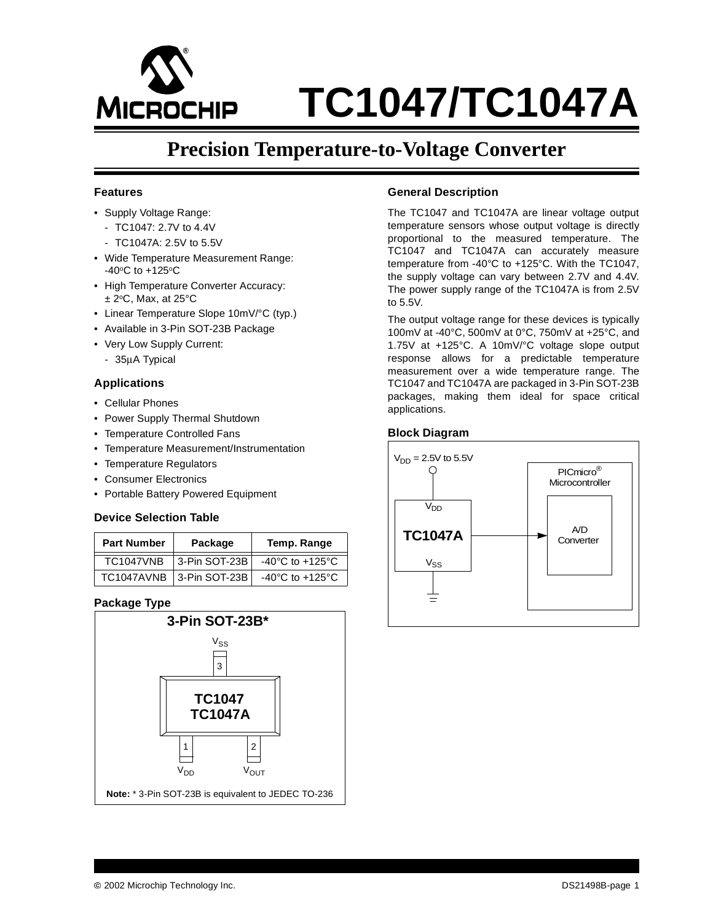

# **Precision Temperature-to-Voltage Converter**

## **Features**

- Supply Voltage Range:
	- TC1047: 2.7V to 4.4V
	- TC1047A: 2.5V to 5.5V
- Wide Temperature Measurement Range:  $-40$ <sup>o</sup>C to  $+125$ <sup>o</sup>C
- High Temperature Converter Accuracy:  $± 2°C$ , Max, at 25°C
- Linear Temperature Slope 10mV/°C (typ.)
- Available in 3-Pin SOT-23B Package
- Very Low Supply Current:
- 35µA Typical

## **Applications**

- Cellular Phones
- Power Supply Thermal Shutdown
- Temperature Controlled Fans
- Temperature Measurement/Instrumentation
- Temperature Regulators
- Consumer Electronics
- Portable Battery Powered Equipment

## **Device Selection Table**

| <b>Part Number</b> | Package       | Temp. Range                           |
|--------------------|---------------|---------------------------------------|
| <b>TC1047VNB</b>   | 3-Pin SOT-23B | $-40^{\circ}$ C to $+125^{\circ}$ C   |
| TC1047AVNB         | 3-Pin SOT-23B | -40 $^{\circ}$ C to +125 $^{\circ}$ C |

## **Package Type**



## **General Description**

The TC1047 and TC1047A are linear voltage output temperature sensors whose output voltage is directly proportional to the measured temperature. The TC1047 and TC1047A can accurately measure temperature from -40°C to +125°C. With the TC1047, the supply voltage can vary between 2.7V and 4.4V. The power supply range of the TC1047A is from 2.5V to 5.5V.

The output voltage range for these devices is typically 100mV at -40°C, 500mV at 0°C, 750mV at +25°C, and 1.75V at +125°C. A 10mV/°C voltage slope output response allows for a predictable temperature measurement over a wide temperature range. The TC1047 and TC1047A are packaged in 3-Pin SOT-23B packages, making them ideal for space critical applications.

## **Block Diagram**

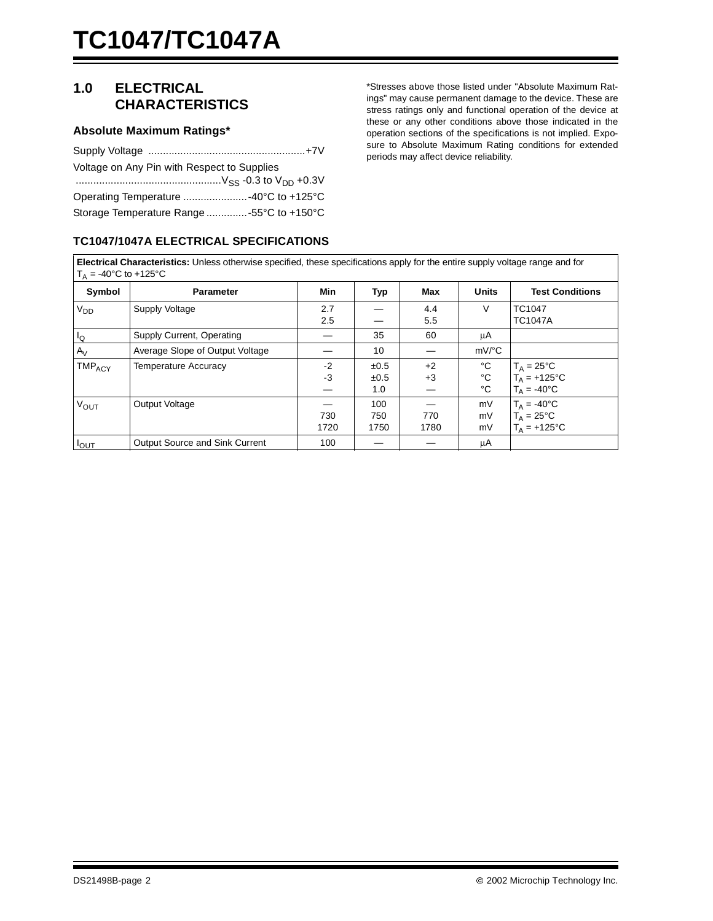# **1.0 ELECTRICAL CHARACTERISTICS**

## **Absolute Maximum Ratings\***

| Voltage on Any Pin with Respect to Supplies |
|---------------------------------------------|
|                                             |
| Operating Temperature  -40°C to +125°C      |
| Storage Temperature Range -55°C to +150°C   |

## **TC1047/1047A ELECTRICAL SPECIFICATIONS**

\*Stresses above those listed under "Absolute Maximum Ratings" may cause permanent damage to the device. These are stress ratings only and functional operation of the device at these or any other conditions above those indicated in the operation sections of the specifications is not implied. Exposure to Absolute Maximum Rating conditions for extended periods may affect device reliability.

| <b>Electrical Characteristics:</b> Unless otherwise specified, these specifications apply for the entire supply voltage range and for |  |
|---------------------------------------------------------------------------------------------------------------------------------------|--|
| $T_A = -40^{\circ}$ C to $+125^{\circ}$ C                                                                                             |  |

| Symbol             | <b>Parameter</b>                      | Min  | Typ  | Max  | <b>Units</b>        | <b>Test Conditions</b> |
|--------------------|---------------------------------------|------|------|------|---------------------|------------------------|
| V <sub>DD</sub>    | Supply Voltage                        | 2.7  |      | 4.4  | V                   | TC1047                 |
|                    |                                       | 2.5  |      | 5.5  |                     | <b>TC1047A</b>         |
| Ιo                 | Supply Current, Operating             |      | 35   | 60   | μA                  |                        |
| $A_V$              | Average Slope of Output Voltage       |      | 10   |      | $mV$ <sup>o</sup> C |                        |
| TMP <sub>ACY</sub> | <b>Temperature Accuracy</b>           | $-2$ | ±0.5 | $+2$ | °C                  | $T_A = 25^{\circ}C$    |
|                    |                                       | $-3$ | ±0.5 | $+3$ | $^{\circ}C$         | $T_A = +125$ °C        |
|                    |                                       |      | 1.0  |      | °C                  | $T_A = -40$ °C         |
| V <sub>OUT</sub>   | Output Voltage                        |      | 100  |      | mV                  | $T_A = -40^{\circ}C$   |
|                    |                                       | 730  | 750  | 770  | mV                  | $T_A = 25^{\circ}C$    |
|                    |                                       | 1720 | 1750 | 1780 | mV                  | $T_A = +125$ °C        |
| <b>POUT</b>        | <b>Output Source and Sink Current</b> | 100  |      |      | μA                  |                        |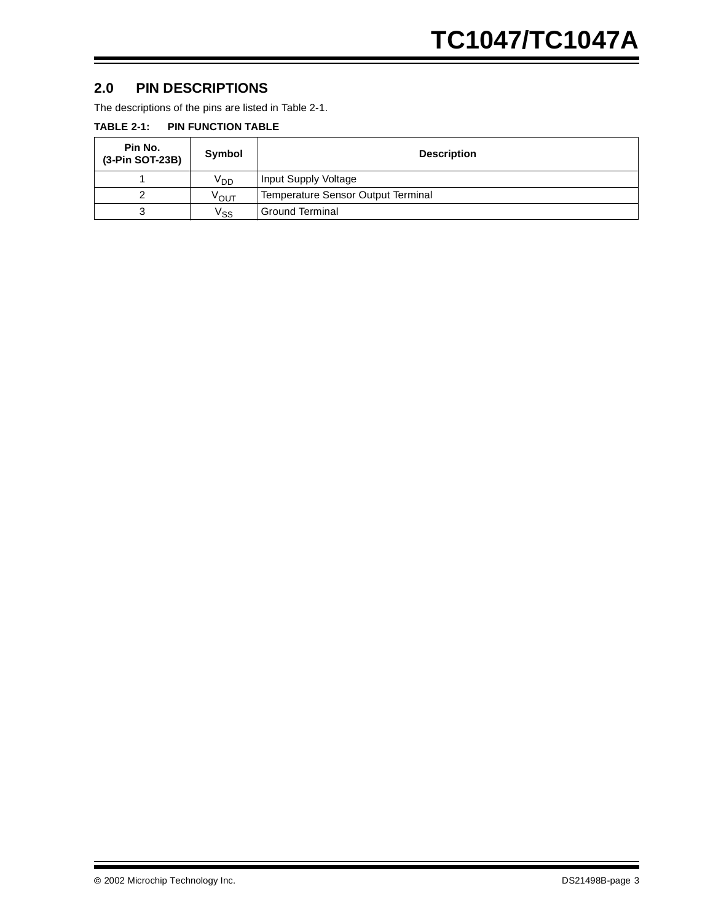## **2.0 PIN DESCRIPTIONS**

The descriptions of the pins are listed in Table 2-1.

## **TABLE 2-1: PIN FUNCTION TABLE**

| Pin No.<br>(3-Pin SOT-23B) | Symbol          | <b>Description</b>                 |  |
|----------------------------|-----------------|------------------------------------|--|
|                            | V <sub>DD</sub> | Input Supply Voltage               |  |
| っ                          | VOUT            | Temperature Sensor Output Terminal |  |
| 3                          | Vss             | Ground Terminal                    |  |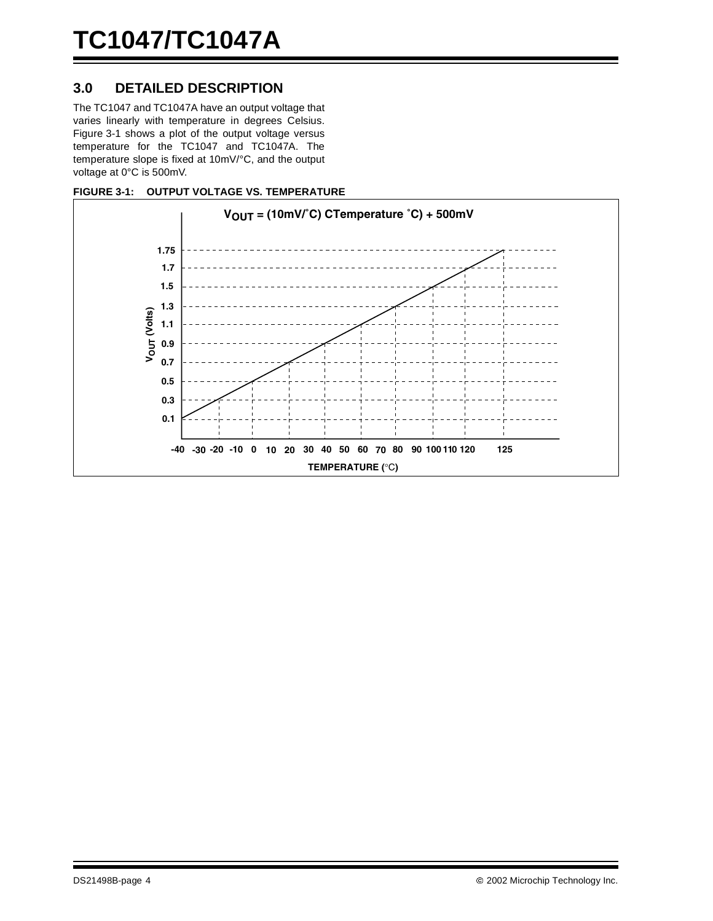# **3.0 DETAILED DESCRIPTION**

The TC1047 and TC1047A have an output voltage that varies linearly with temperature in degrees Celsius. Figure 3-1 shows a plot of the output voltage versus temperature for the TC1047 and TC1047A. The temperature slope is fixed at 10mV/°C, and the output voltage at 0°C is 500mV.



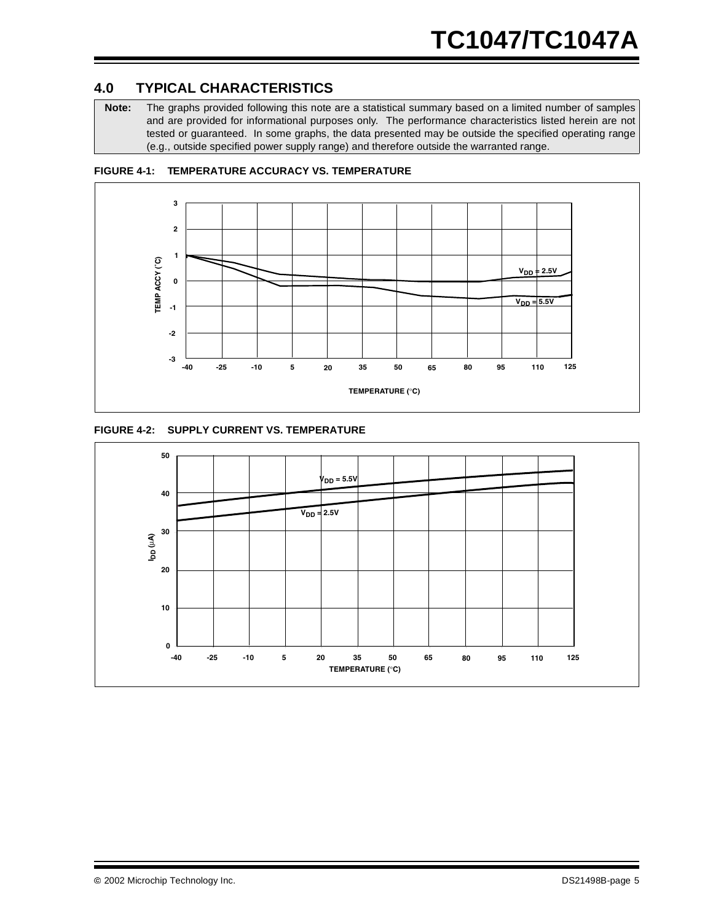# **4.0 TYPICAL CHARACTERISTICS**

**Note:** The graphs provided following this note are a statistical summary based on a limited number of samples and are provided for informational purposes only. The performance characteristics listed herein are not tested or guaranteed. In some graphs, the data presented may be outside the specified operating range (e.g., outside specified power supply range) and therefore outside the warranted range.



**FIGURE 4-1: TEMPERATURE ACCURACY VS. TEMPERATURE**



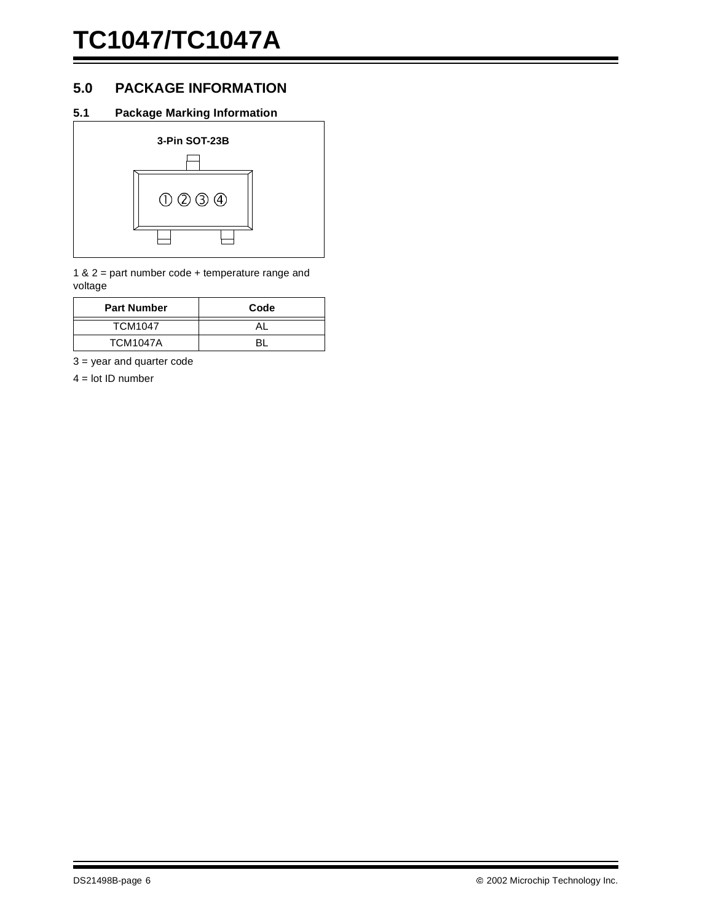# **5.0 PACKAGE INFORMATION**

## **5.1 Package Marking Information**



1 & 2 = part number code + temperature range and voltage

| <b>Part Number</b> | Code |
|--------------------|------|
| <b>TCM1047</b>     |      |
| <b>TCM1047A</b>    |      |

3 = year and quarter code

 $4 =$  lot ID number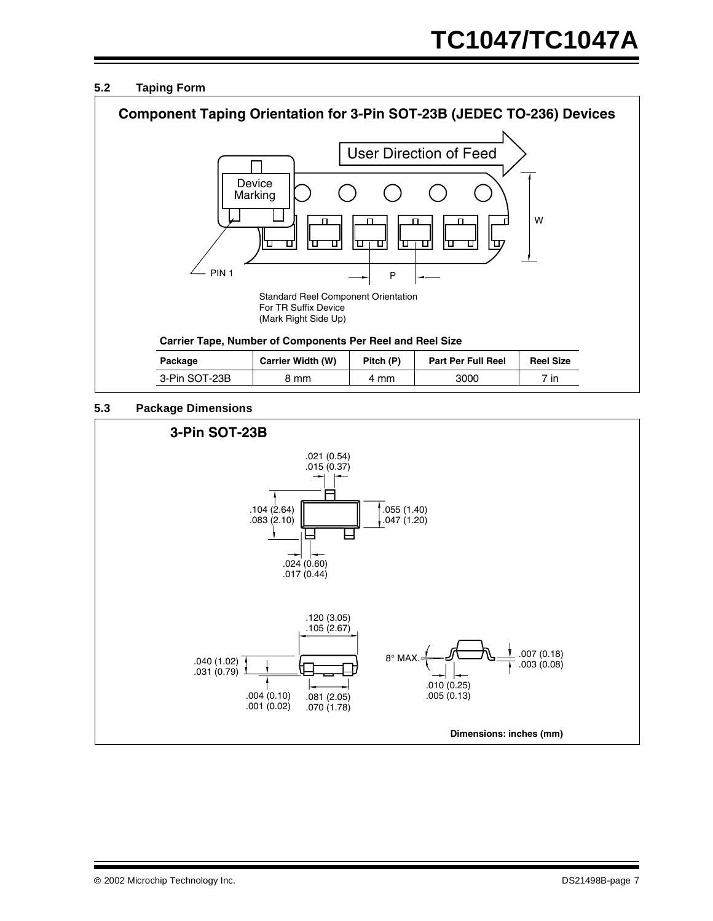## **5.2 Taping Form**



## **5.3 Package Dimensions**

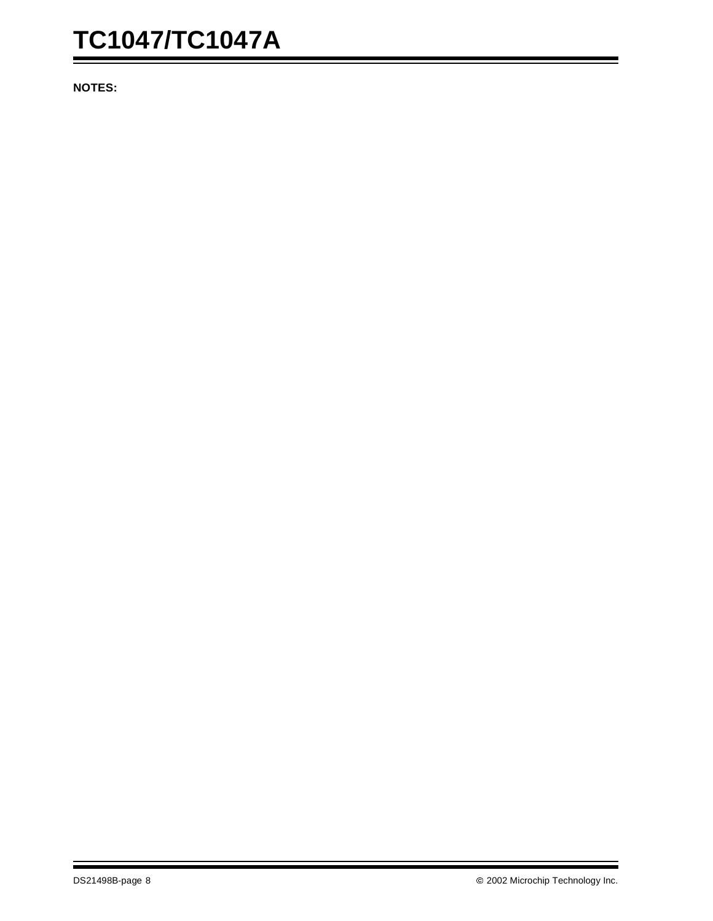# **TC1047/TC1047A**

**NOTES:**

Ξ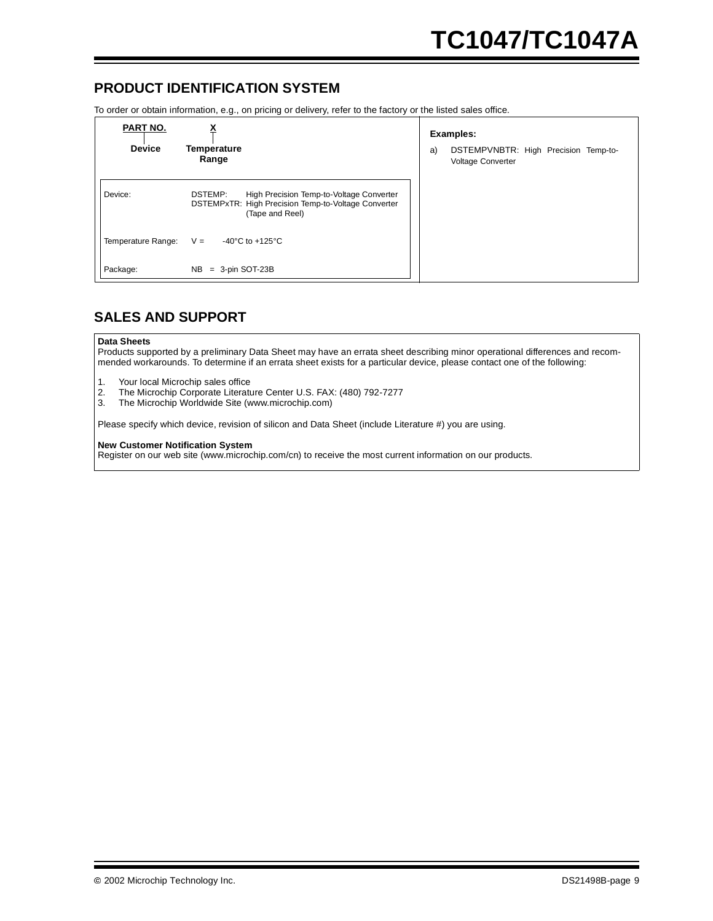## **PRODUCT IDENTIFICATION SYSTEM**

To order or obtain information, e.g., on pricing or delivery, refer to the factory or the listed sales office.

| PART NO.           |                                                                                                                               | <b>Examples:</b> |                                                           |  |  |
|--------------------|-------------------------------------------------------------------------------------------------------------------------------|------------------|-----------------------------------------------------------|--|--|
| <b>Device</b>      | Temperature<br>Range                                                                                                          | a)               | DSTEMPVNBTR: High Precision Temp-to-<br>Voltage Converter |  |  |
| Device:            | DSTEMP:<br>High Precision Temp-to-Voltage Converter<br>DSTEMPxTR: High Precision Temp-to-Voltage Converter<br>(Tape and Reel) |                  |                                                           |  |  |
| Temperature Range: | -40 $^{\circ}$ C to +125 $^{\circ}$ C<br>$V =$                                                                                |                  |                                                           |  |  |
| Package:           | $= 3$ -pin SOT-23B<br>NB.                                                                                                     |                  |                                                           |  |  |

# **SALES AND SUPPORT**

#### **Data Sheets**

Products supported by a preliminary Data Sheet may have an errata sheet describing minor operational differences and recommended workarounds. To determine if an errata sheet exists for a particular device, please contact one of the following:

- 1. Your local Microchip sales office<br>2. The Microchip Corporate Literatu
- 2. The Microchip Corporate Literature Center U.S. FAX: (480) 792-7277<br>3. The Microchip Worldwide Site (www.microchip.com)
- The Microchip Worldwide Site (www.microchip.com)

Please specify which device, revision of silicon and Data Sheet (include Literature #) you are using.

#### **New Customer Notification System**

Register on our web site (www.microchip.com/cn) to receive the most current information on our products.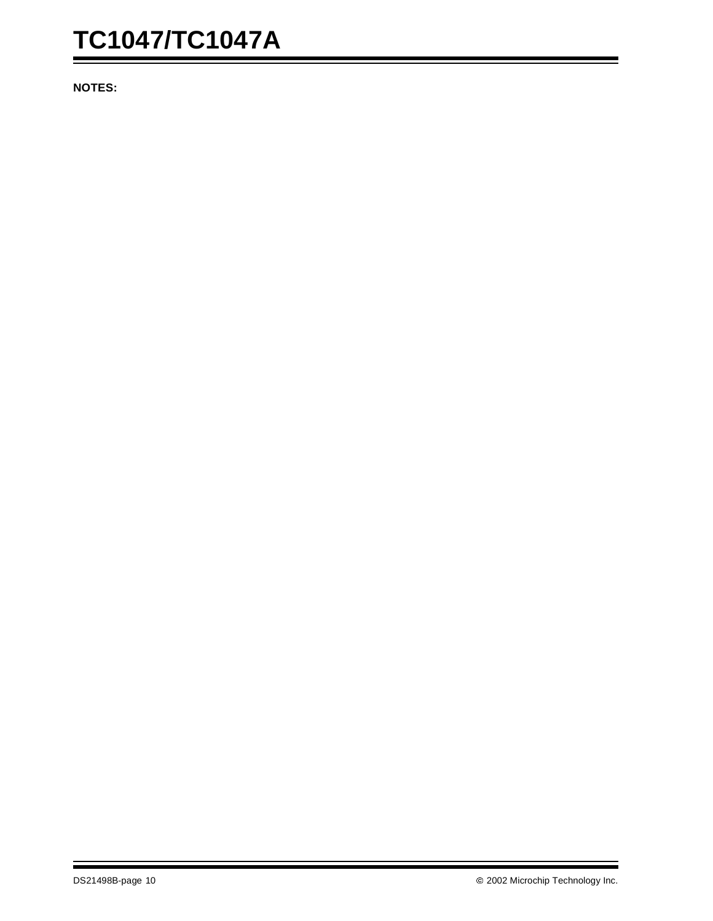# **TC1047/TC1047A**

**NOTES:**

Ξ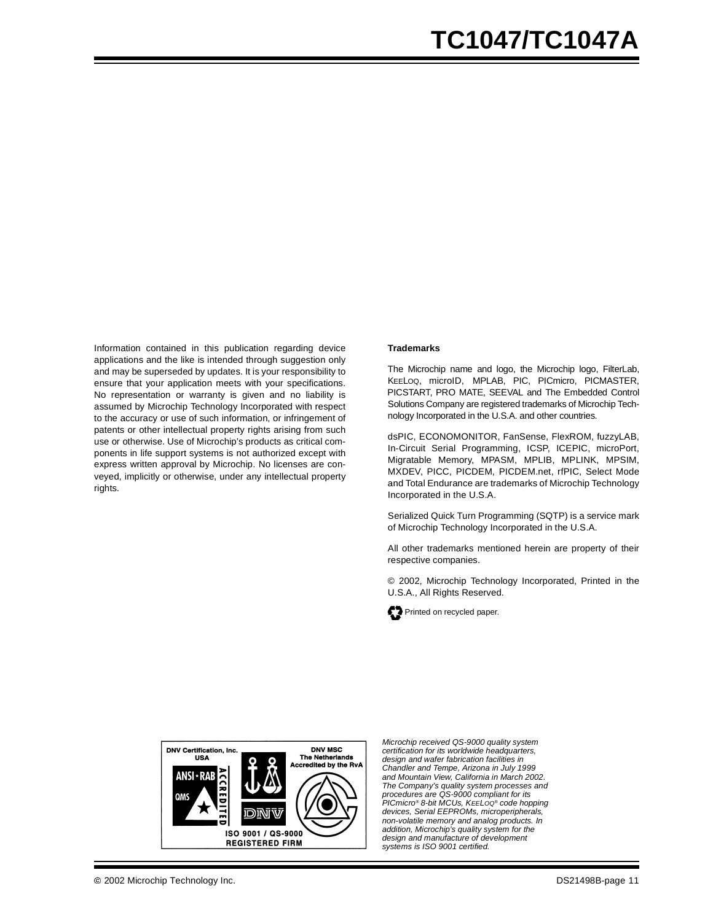Information contained in this publication regarding device applications and the like is intended through suggestion only and may be superseded by updates. It is your responsibility to ensure that your application meets with your specifications. No representation or warranty is given and no liability is assumed by Microchip Technology Incorporated with respect to the accuracy or use of such information, or infringement of patents or other intellectual property rights arising from such use or otherwise. Use of Microchip's products as critical components in life support systems is not authorized except with express written approval by Microchip. No licenses are conveyed, implicitly or otherwise, under any intellectual property rights.

#### **Trademarks**

The Microchip name and logo, the Microchip logo, FilterLab, KEELOQ, microID, MPLAB, PIC, PICmicro, PICMASTER, PICSTART, PRO MATE, SEEVAL and The Embedded Control Solutions Company are registered trademarks of Microchip Technology Incorporated in the U.S.A. and other countries.

dsPIC, ECONOMONITOR, FanSense, FlexROM, fuzzyLAB, In-Circuit Serial Programming, ICSP, ICEPIC, microPort, Migratable Memory, MPASM, MPLIB, MPLINK, MPSIM, MXDEV, PICC, PICDEM, PICDEM.net, rfPIC, Select Mode and Total Endurance are trademarks of Microchip Technology Incorporated in the U.S.A.

Serialized Quick Turn Programming (SQTP) is a service mark of Microchip Technology Incorporated in the U.S.A.

All other trademarks mentioned herein are property of their respective companies.

© 2002, Microchip Technology Incorporated, Printed in the U.S.A., All Rights Reserved.





*Microchip received QS-9000 quality system certification for its worldwide headquarters, design and wafer fabrication facilities in Chandler and Tempe, Arizona in July 1999 and Mountain View, California in March 2002. The Company's quality system processes and procedures are QS-9000 compliant for its PICmicro® 8-bit MCUs, KEELOQ® code hopping devices, Serial EEPROMs, microperipherals, non-volatile memory and analog products. In addition, Microchip's quality system for the design and manufacture of development systems is ISO 9001 certified.*